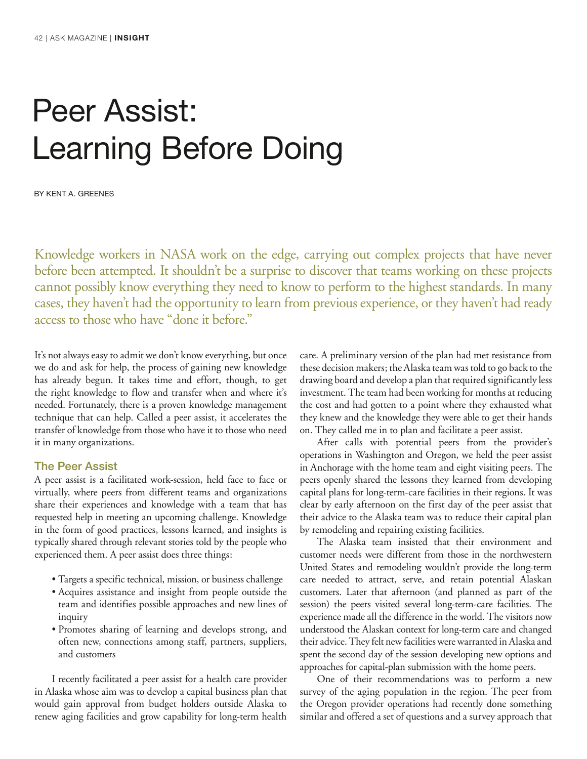# Peer Assist: Learning Before Doing

By Kent A. Greenes

Knowledge workers in NASA work on the edge, carrying out complex projects that have never before been attempted. It shouldn't be a surprise to discover that teams working on these projects cannot possibly know everything they need to know to perform to the highest standards. In many cases, they haven't had the opportunity to learn from previous experience, or they haven't had ready access to those who have "done it before."

It's not always easy to admit we don't know everything, but once we do and ask for help, the process of gaining new knowledge has already begun. It takes time and effort, though, to get the right knowledge to flow and transfer when and where it's needed. Fortunately, there is a proven knowledge management technique that can help. Called a peer assist, it accelerates the transfer of knowledge from those who have it to those who need it in many organizations.

### The Peer Assist

A peer assist is a facilitated work-session, held face to face or virtually, where peers from different teams and organizations share their experiences and knowledge with a team that has requested help in meeting an upcoming challenge. Knowledge in the form of good practices, lessons learned, and insights is typically shared through relevant stories told by the people who experienced them. A peer assist does three things:

- Targets a specific technical, mission, or business challenge
- Acquires assistance and insight from people outside the team and identifies possible approaches and new lines of inquiry
- Promotes sharing of learning and develops strong, and often new, connections among staff, partners, suppliers, and customers

I recently facilitated a peer assist for a health care provider in Alaska whose aim was to develop a capital business plan that would gain approval from budget holders outside Alaska to renew aging facilities and grow capability for long-term health care. A preliminary version of the plan had met resistance from these decision makers; the Alaska team was told to go back to the drawing board and develop a plan that required significantly less investment. The team had been working for months at reducing the cost and had gotten to a point where they exhausted what they knew and the knowledge they were able to get their hands on. They called me in to plan and facilitate a peer assist.

After calls with potential peers from the provider's operations in Washington and Oregon, we held the peer assist in Anchorage with the home team and eight visiting peers. The peers openly shared the lessons they learned from developing capital plans for long-term-care facilities in their regions. It was clear by early afternoon on the first day of the peer assist that their advice to the Alaska team was to reduce their capital plan by remodeling and repairing existing facilities.

The Alaska team insisted that their environment and customer needs were different from those in the northwestern United States and remodeling wouldn't provide the long-term care needed to attract, serve, and retain potential Alaskan customers. Later that afternoon (and planned as part of the session) the peers visited several long-term-care facilities. The experience made all the difference in the world. The visitors now understood the Alaskan context for long-term care and changed their advice. They felt new facilities were warranted in Alaska and spent the second day of the session developing new options and approaches for capital-plan submission with the home peers.

One of their recommendations was to perform a new survey of the aging population in the region. The peer from the Oregon provider operations had recently done something similar and offered a set of questions and a survey approach that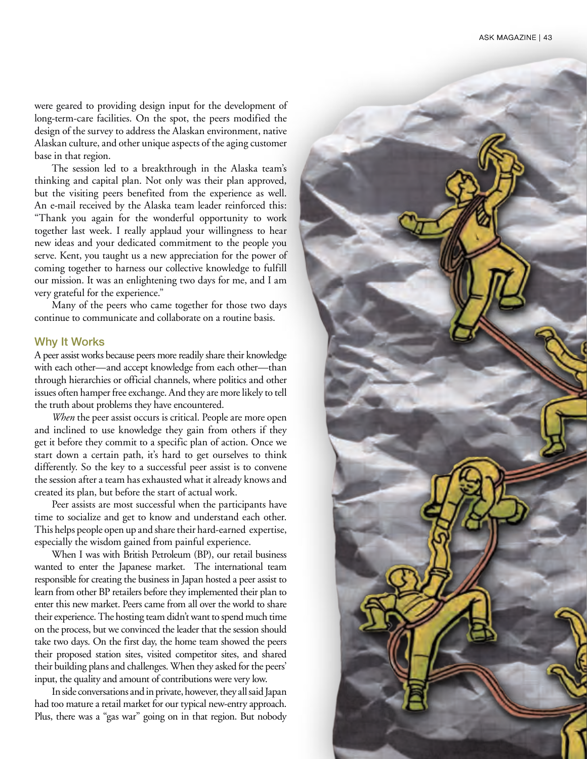were geared to providing design input for the development of long-term-care facilities. On the spot, the peers modified the design of the survey to address the Alaskan environment, native Alaskan culture, and other unique aspects of the aging customer base in that region.

The session led to a breakthrough in the Alaska team's thinking and capital plan. Not only was their plan approved, but the visiting peers benefited from the experience as well. An e-mail received by the Alaska team leader reinforced this: "Thank you again for the wonderful opportunity to work together last week. I really applaud your willingness to hear new ideas and your dedicated commitment to the people you serve. Kent, you taught us a new appreciation for the power of coming together to harness our collective knowledge to fulfill our mission. It was an enlightening two days for me, and I am very grateful for the experience."

Many of the peers who came together for those two days continue to communicate and collaborate on a routine basis.

#### Why It Works

A peer assist works because peers more readily share their knowledge with each other—and accept knowledge from each other—than through hierarchies or official channels, where politics and other issues often hamper free exchange. And they are more likely to tell the truth about problems they have encountered.

*When* the peer assist occurs is critical. People are more open and inclined to use knowledge they gain from others if they get it before they commit to a specific plan of action. Once we start down a certain path, it's hard to get ourselves to think differently. So the key to a successful peer assist is to convene the session after a team has exhausted what it already knows and created its plan, but before the start of actual work.

Peer assists are most successful when the participants have time to socialize and get to know and understand each other. This helps people open up and share their hard-earned expertise, especially the wisdom gained from painful experience.

When I was with British Petroleum (BP), our retail business wanted to enter the Japanese market. The international team responsible for creating the business in Japan hosted a peer assist to learn from other BP retailers before they implemented their plan to enter this new market. Peers came from all over the world to share their experience. The hosting team didn't want to spend much time on the process, but we convinced the leader that the session should take two days. On the first day, the home team showed the peers their proposed station sites, visited competitor sites, and shared their building plans and challenges. When they asked for the peers' input, the quality and amount of contributions were very low.

In side conversations and in private, however, they all said Japan had too mature a retail market for our typical new-entry approach. Plus, there was a "gas war" going on in that region. But nobody

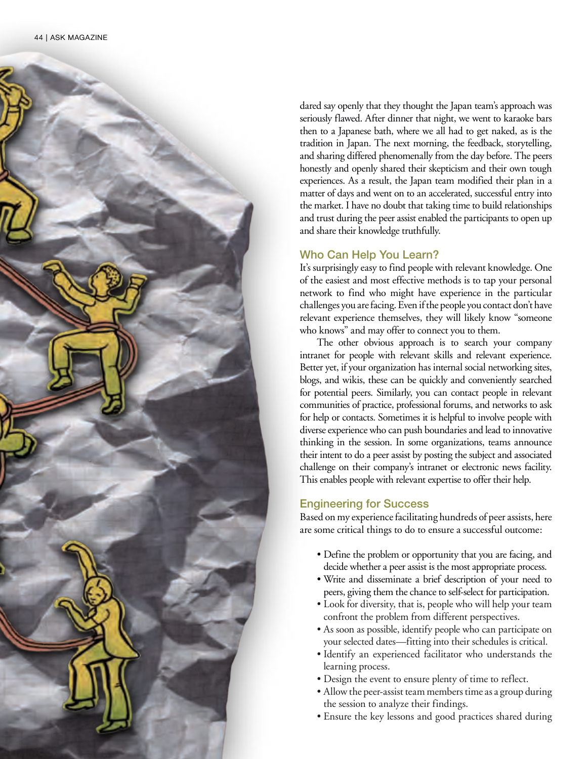

dared say openly that they thought the Japan team's approach was seriously flawed. After dinner that night, we went to karaoke bars then to a Japanese bath, where we all had to get naked, as is the tradition in Japan. The next morning, the feedback, storytelling, and sharing differed phenomenally from the day before. The peers honestly and openly shared their skepticism and their own tough experiences. As a result, the Japan team modified their plan in a matter of days and went on to an accelerated, successful entry into the market. I have no doubt that taking time to build relationships and trust during the peer assist enabled the participants to open up and share their knowledge truthfully.

## Who Can Help You Learn?

It's surprisingly easy to find people with relevant knowledge. One of the easiest and most effective methods is to tap your personal network to find who might have experience in the particular challenges you are facing. Even if the people you contact don't have relevant experience themselves, they will likely know "someone who knows" and may offer to connect you to them.

The other obvious approach is to search your company intranet for people with relevant skills and relevant experience. Better yet, if your organization has internal social networking sites, blogs, and wikis, these can be quickly and conveniently searched for potential peers. Similarly, you can contact people in relevant communities of practice, professional forums, and networks to ask for help or contacts. Sometimes it is helpful to involve people with diverse experience who can push boundaries and lead to innovative thinking in the session. In some organizations, teams announce their intent to do a peer assist by posting the subject and associated challenge on their company's intranet or electronic news facility. This enables people with relevant expertise to offer their help.

## Engineering for Success

Based on my experience facilitating hundreds of peer assists, here are some critical things to do to ensure a successful outcome:

- Define the problem or opportunity that you are facing, and decide whether a peer assist is the most appropriate process.
- Write and disseminate a brief description of your need to peers, giving them the chance to self-select for participation.
- Look for diversity, that is, people who will help your team confront the problem from different perspectives.
- As soon as possible, identify people who can participate on your selected dates—fitting into their schedules is critical.
- Identify an experienced facilitator who understands the learning process.
- Design the event to ensure plenty of time to reflect.
- Allow the peer-assist team members time as a group during the session to analyze their findings.
- Ensure the key lessons and good practices shared during